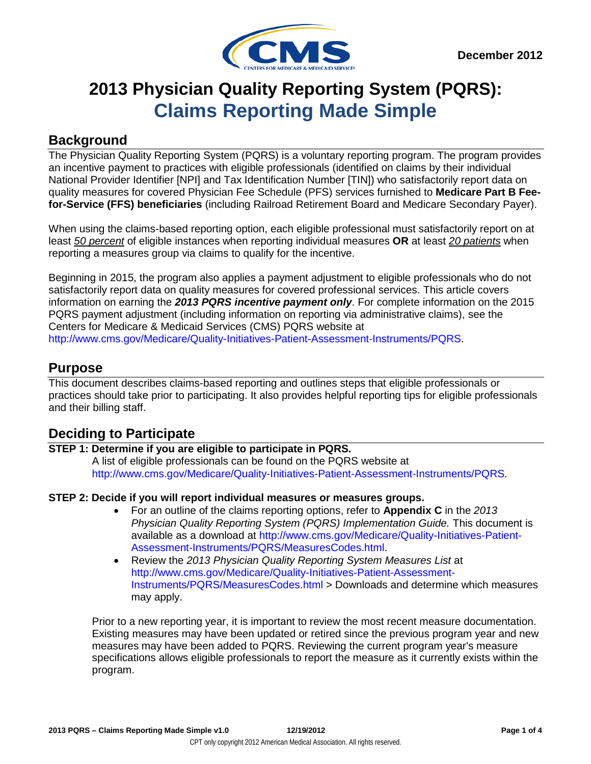

# **2013 Physician Quality Reporting System (PQRS): Claims Reporting Made Simple**

## **Background**

The Physician Quality Reporting System (PQRS) is a voluntary reporting program. The program provides an incentive payment to practices with eligible professionals (identified on claims by their individual National Provider Identifier [NPI] and Tax Identification Number [TIN]) who satisfactorily report data on quality measures for covered Physician Fee Schedule (PFS) services furnished to **Medicare Part B Feefor-Service (FFS) beneficiaries** (including Railroad Retirement Board and Medicare Secondary Payer).

When using the claims-based reporting option, each eligible professional must satisfactorily report on at least *50 percent* of eligible instances when reporting individual measures **OR** at least *20 patients* when reporting a measures group via claims to qualify for the incentive.

Beginning in 2015, the program also applies a payment adjustment to eligible professionals who do not satisfactorily report data on quality measures for covered professional services. This article covers information on earning the *2013 PQRS incentive payment only*. For complete information on the 2015 PQRS payment adjustment (including information on reporting via administrative claims), see the Centers for Medicare & Medicaid Services (CMS) PQRS website at [http://www.cms.gov/Medicare/Quality-Initiatives-Patient-Assessment-Instruments/PQRS.](http://www.cms.gov/Medicare/Quality-Initiatives-Patient-Assessment-Instruments/PQRS)

### **Purpose**

This document describes claims-based reporting and outlines steps that eligible professionals or practices should take prior to participating. It also provides helpful reporting tips for eligible professionals and their billing staff.

# **Deciding to Participate**

### **STEP 1: Determine if you are eligible to participate in PQRS.**

A list of eligible professionals can be found on the PQRS website at [http://www.cms.gov/Medicare/Quality-Initiatives-Patient-Assessment-Instruments/PQRS.](http://www.cms.gov/Medicare/Quality-Initiatives-Patient-Assessment-Instruments/PQRS)

### **STEP 2: Decide if you will report individual measures or measures groups.**

- For an outline of the claims reporting options, refer to **Appendix C** in the *2013 Physician Quality Reporting System (PQRS) Implementation Guide.* This document is available as a download at [http://www.cms.gov/Medicare/Quality-Initiatives-Patient-](http://www.cms.gov/Medicare/Quality-Initiatives-Patient-Assessment-Instruments/PQRS/MeasuresCodes.html)[Assessment-Instruments/PQRS/MeasuresCodes.html.](http://www.cms.gov/Medicare/Quality-Initiatives-Patient-Assessment-Instruments/PQRS/MeasuresCodes.html)
- Review the *2013 Physician Quality Reporting System Measures List* at [http://www.cms.gov/Medicare/Quality-Initiatives-Patient-Assessment-](http://www.cms.gov/Medicare/Quality-Initiatives-Patient-Assessment-Instruments/PQRS/MeasuresCodes.html)[Instruments/PQRS/MeasuresCodes.html](http://www.cms.gov/Medicare/Quality-Initiatives-Patient-Assessment-Instruments/PQRS/MeasuresCodes.html) > Downloads and determine which measures may apply.

Prior to a new reporting year, it is important to review the most recent measure documentation. Existing measures may have been updated or retired since the previous program year and new measures may have been added to PQRS. Reviewing the current program year's measure specifications allows eligible professionals to report the measure as it currently exists within the program.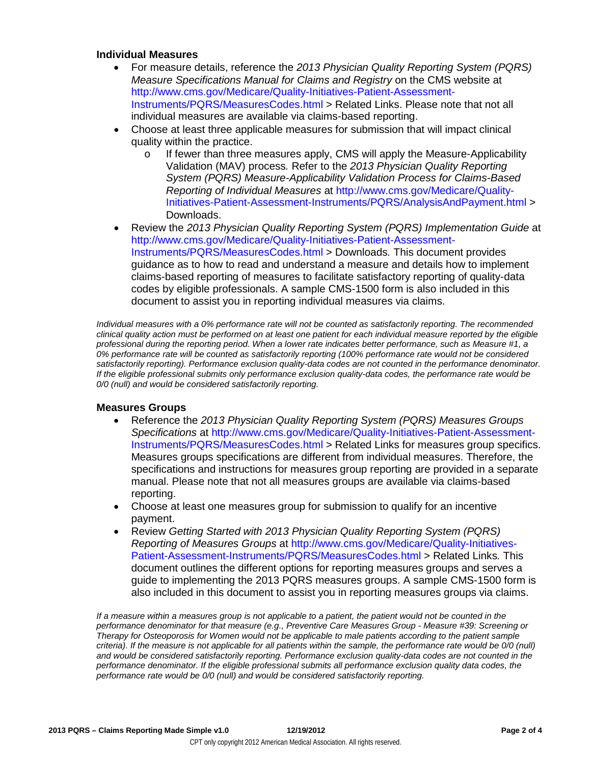#### **Individual Measures**

- For measure details, reference the *2013 Physician Quality Reporting System (PQRS) Measure Specifications Manual for Claims and Registry* on the CMS website at [http://www.cms.gov/Medicare/Quality-Initiatives-Patient-Assessment-](http://www.cms.gov/Medicare/Quality-Initiatives-Patient-Assessment-Instruments/PQRS/MeasuresCodes.html)[Instruments/PQRS/MeasuresCodes.html](http://www.cms.gov/Medicare/Quality-Initiatives-Patient-Assessment-Instruments/PQRS/MeasuresCodes.html) > Related Links. Please note that not all individual measures are available via claims-based reporting.
- Choose at least three applicable measures for submission that will impact clinical quality within the practice.
	- o If fewer than three measures apply, CMS will apply the Measure-Applicability Validation (MAV) process*.* Refer to the *2013 Physician Quality Reporting System (PQRS) Measure-Applicability Validation Process for Claims-Based Reporting of Individual Measures* at [http://www.cms.gov/Medicare/Quality-](http://www.cms.gov/Medicare/Quality-Initiatives-Patient-Assessment-Instruments/PQRS/AnalysisAndPayment.html)[Initiatives-Patient-Assessment-Instruments/PQRS/AnalysisAndPayment.html](http://www.cms.gov/Medicare/Quality-Initiatives-Patient-Assessment-Instruments/PQRS/AnalysisAndPayment.html) > Downloads.
- Review the *2013 Physician Quality Reporting System (PQRS) Implementation Guide* at [http://www.cms.gov/Medicare/Quality-Initiatives-Patient-Assessment-](http://www.cms.gov/Medicare/Quality-Initiatives-Patient-Assessment-Instruments/PQRS/MeasuresCodes.html)[Instruments/PQRS/MeasuresCodes.html](http://www.cms.gov/Medicare/Quality-Initiatives-Patient-Assessment-Instruments/PQRS/MeasuresCodes.html) > Downloads*.* This document provides guidance as to how to read and understand a measure and details how to implement claims-based reporting of measures to facilitate satisfactory reporting of quality-data codes by eligible professionals. A sample CMS-1500 form is also included in this document to assist you in reporting individual measures via claims.

*Individual measures with a 0% performance rate will not be counted as satisfactorily reporting. The recommended clinical quality action must be performed on at least one patient for each individual measure reported by the eligible professional during the reporting period. When a lower rate indicates better performance, such as Measure #1, a 0% performance rate will be counted as satisfactorily reporting (100% performance rate would not be considered satisfactorily reporting). Performance exclusion quality-data codes are not counted in the performance denominator. If the eligible professional submits only performance exclusion quality-data codes, the performance rate would be 0/0 (null) and would be considered satisfactorily reporting.*

#### **Measures Groups**

- Reference the *2013 Physician Quality Reporting System (PQRS) Measures Groups Specifications* at [http://www.cms.gov/Medicare/Quality-Initiatives-Patient-Assessment-](http://www.cms.gov/Medicare/Quality-Initiatives-Patient-Assessment-Instruments/PQRS/MeasuresCodes.html)[Instruments/PQRS/MeasuresCodes.html](http://www.cms.gov/Medicare/Quality-Initiatives-Patient-Assessment-Instruments/PQRS/MeasuresCodes.html) > Related Links for measures group specifics. Measures groups specifications are different from individual measures. Therefore, the specifications and instructions for measures group reporting are provided in a separate manual. Please note that not all measures groups are available via claims-based reporting.
- Choose at least one measures group for submission to qualify for an incentive payment.
- Review *Getting Started with 2013 Physician Quality Reporting System (PQRS) Reporting of Measures Groups* at [http://www.cms.gov/Medicare/Quality-Initiatives-](http://www.cms.gov/Medicare/Quality-Initiatives-Patient-Assessment-Instruments/PQRS/MeasuresCodes.html)[Patient-Assessment-Instruments/PQRS/MeasuresCodes.html](http://www.cms.gov/Medicare/Quality-Initiatives-Patient-Assessment-Instruments/PQRS/MeasuresCodes.html) > Related Links*.* This document outlines the different options for reporting measures groups and serves a guide to implementing the 2013 PQRS measures groups. A sample CMS-1500 form is also included in this document to assist you in reporting measures groups via claims.

*If a measure within a measures group is not applicable to a patient, the patient would not be counted in the performance denominator for that measure (e.g., Preventive Care Measures Group - Measure #39: Screening or Therapy for Osteoporosis for Women would not be applicable to male patients according to the patient sample criteria). If the measure is not applicable for all patients within the sample, the performance rate would be 0/0 (null) and would be considered satisfactorily reporting. Performance exclusion quality-data codes are not counted in the performance denominator. If the eligible professional submits all performance exclusion quality data codes, the performance rate would be 0/0 (null) and would be considered satisfactorily reporting.*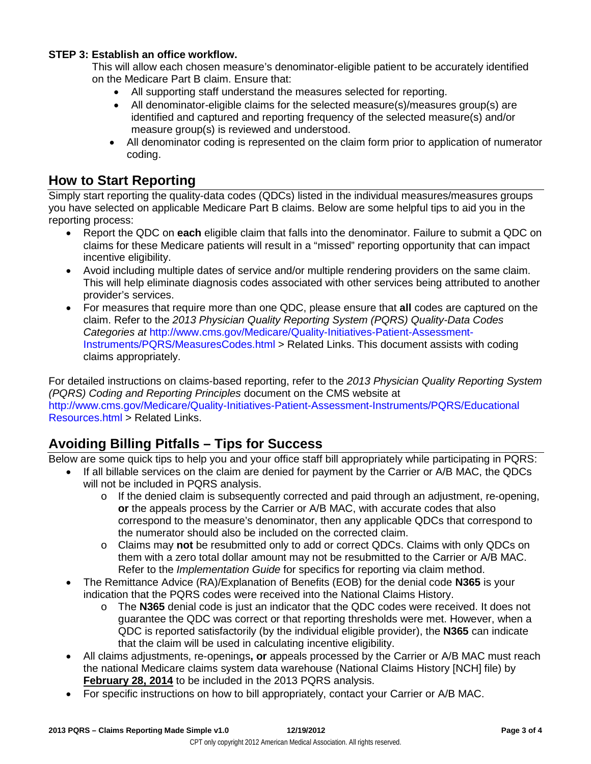### **STEP 3: Establish an office workflow.**

This will allow each chosen measure's denominator-eligible patient to be accurately identified on the Medicare Part B claim. Ensure that:

- All supporting staff understand the measures selected for reporting.
- All denominator-eligible claims for the selected measure(s)/measures group(s) are identified and captured and reporting frequency of the selected measure(s) and/or measure group(s) is reviewed and understood.
- All denominator coding is represented on the claim form prior to application of numerator coding.

### **How to Start Reporting**

Simply start reporting the quality-data codes (QDCs) listed in the individual measures/measures groups you have selected on applicable Medicare Part B claims. Below are some helpful tips to aid you in the reporting process:

- Report the QDC on **each** eligible claim that falls into the denominator. Failure to submit a QDC on claims for these Medicare patients will result in a "missed" reporting opportunity that can impact incentive eligibility.
- Avoid including multiple dates of service and/or multiple rendering providers on the same claim. This will help eliminate diagnosis codes associated with other services being attributed to another provider's services.
- For measures that require more than one QDC, please ensure that **all** codes are captured on the claim. Refer to the *2013 Physician Quality Reporting System (PQRS) Quality-Data Codes Categories at* [http://www.cms.gov/Medicare/Quality-Initiatives-Patient-Assessment-](http://www.cms.gov/Medicare/Quality-Initiatives-Patient-Assessment-Instruments/PQRS/MeasuresCodes.html)[Instruments/PQRS/MeasuresCodes.html](http://www.cms.gov/Medicare/Quality-Initiatives-Patient-Assessment-Instruments/PQRS/MeasuresCodes.html) > Related Links. This document assists with coding claims appropriately.

For detailed instructions on claims-based reporting, refer to the *2013 Physician Quality Reporting System (PQRS) Coding and Reporting Principles* document on the CMS website at [http://www.cms.gov/Medicare/Quality-Initiatives-Patient-Assessment-Instruments/PQRS/Educational](http://www.cms.gov/Medicare/Quality-Initiatives-Patient-Assessment-Instruments/PQRS/EducationalResources.html) [Resources.html](http://www.cms.gov/Medicare/Quality-Initiatives-Patient-Assessment-Instruments/PQRS/EducationalResources.html) > Related Links.

# **Avoiding Billing Pitfalls – Tips for Success**

Below are some quick tips to help you and your office staff bill appropriately while participating in PQRS:

- If all billable services on the claim are denied for payment by the Carrier or A/B MAC, the QDCs will not be included in PQRS analysis.
	- o If the denied claim is subsequently corrected and paid through an adjustment, re-opening, **or** the appeals process by the Carrier or A/B MAC, with accurate codes that also correspond to the measure's denominator, then any applicable QDCs that correspond to the numerator should also be included on the corrected claim.
	- o Claims may **not** be resubmitted only to add or correct QDCs. Claims with only QDCs on them with a zero total dollar amount may not be resubmitted to the Carrier or A/B MAC. Refer to the *Implementation Guide* for specifics for reporting via claim method.
- The Remittance Advice (RA)/Explanation of Benefits (EOB) for the denial code **N365** is your indication that the PQRS codes were received into the National Claims History.
	- o The **N365** denial code is just an indicator that the QDC codes were received. It does not guarantee the QDC was correct or that reporting thresholds were met. However, when a QDC is reported satisfactorily (by the individual eligible provider), the **N365** can indicate that the claim will be used in calculating incentive eligibility.
- All claims adjustments, re-openings**, or** appeals processed by the Carrier or A/B MAC must reach the national Medicare claims system data warehouse (National Claims History [NCH] file) by **February 28, 2014** to be included in the 2013 PQRS analysis.
- For specific instructions on how to bill appropriately, contact your Carrier or A/B MAC.